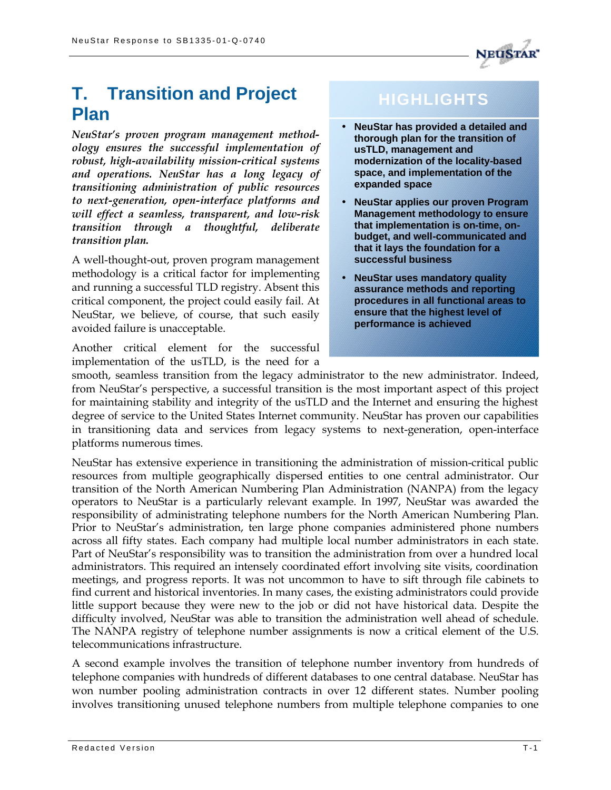# **T. Transition and Project Plan**

*NeuStar's proven program management methodology ensures the successful implementation of robust, high-availability mission-critical systems and operations. NeuStar has a long legacy of transitioning administration of public resources to next-generation, open-interface platforms and will effect a seamless, transparent, and low-risk transition through a thoughtful, deliberate transition plan.*

A well-thought-out, proven program management methodology is a critical factor for implementing and running a successful TLD registry. Absent this critical component, the project could easily fail. At NeuStar, we believe, of course, that such easily avoided failure is unacceptable.

Another critical element for the successful implementation of the usTLD, is the need for a

# **HIGHLIGHTS**

- **NeuStar has provided a detailed and thorough plan for the transition of usTLD, management and modernization of the locality-based space, and implementation of the expanded space**
- **NeuStar applies our proven Program Management methodology to ensure that implementation is on-time, onbudget, and well-communicated and that it lays the foundation for a successful business**
- **NeuStar uses mandatory quality assurance methods and reporting procedures in all functional areas to ensure that the highest level of performance is achieved**

smooth, seamless transition from the legacy administrator to the new administrator. Indeed, from NeuStar's perspective, a successful transition is the most important aspect of this project for maintaining stability and integrity of the usTLD and the Internet and ensuring the highest degree of service to the United States Internet community. NeuStar has proven our capabilities in transitioning data and services from legacy systems to next-generation, open-interface platforms numerous times.

NeuStar has extensive experience in transitioning the administration of mission-critical public resources from multiple geographically dispersed entities to one central administrator. Our transition of the North American Numbering Plan Administration (NANPA) from the legacy operators to NeuStar is a particularly relevant example. In 1997, NeuStar was awarded the responsibility of administrating telephone numbers for the North American Numbering Plan. Prior to NeuStar's administration, ten large phone companies administered phone numbers across all fifty states. Each company had multiple local number administrators in each state. Part of NeuStar's responsibility was to transition the administration from over a hundred local administrators. This required an intensely coordinated effort involving site visits, coordination meetings, and progress reports. It was not uncommon to have to sift through file cabinets to find current and historical inventories. In many cases, the existing administrators could provide little support because they were new to the job or did not have historical data. Despite the difficulty involved, NeuStar was able to transition the administration well ahead of schedule. The NANPA registry of telephone number assignments is now a critical element of the U.S. telecommunications infrastructure.

A second example involves the transition of telephone number inventory from hundreds of telephone companies with hundreds of different databases to one central database. NeuStar has won number pooling administration contracts in over 12 different states. Number pooling involves transitioning unused telephone numbers from multiple telephone companies to one

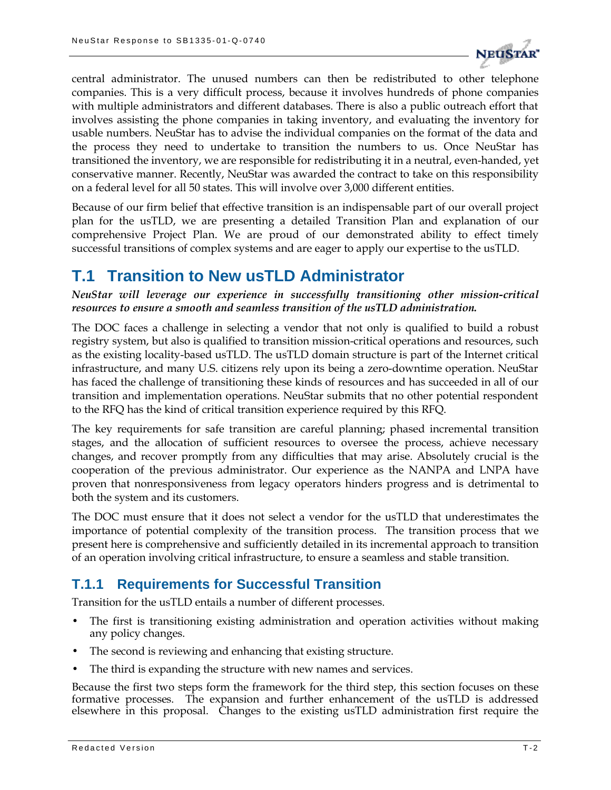

central administrator. The unused numbers can then be redistributed to other telephone companies. This is a very difficult process, because it involves hundreds of phone companies with multiple administrators and different databases. There is also a public outreach effort that involves assisting the phone companies in taking inventory, and evaluating the inventory for usable numbers. NeuStar has to advise the individual companies on the format of the data and the process they need to undertake to transition the numbers to us. Once NeuStar has transitioned the inventory, we are responsible for redistributing it in a neutral, even-handed, yet conservative manner. Recently, NeuStar was awarded the contract to take on this responsibility on a federal level for all 50 states. This will involve over 3,000 different entities.

Because of our firm belief that effective transition is an indispensable part of our overall project plan for the usTLD, we are presenting a detailed Transition Plan and explanation of our comprehensive Project Plan. We are proud of our demonstrated ability to effect timely successful transitions of complex systems and are eager to apply our expertise to the usTLD.

## **T.1 Transition to New usTLD Administrator**

*NeuStar will leverage our experience in successfully transitioning other mission-critical resources to ensure a smooth and seamless transition of the usTLD administration.*

The DOC faces a challenge in selecting a vendor that not only is qualified to build a robust registry system, but also is qualified to transition mission-critical operations and resources, such as the existing locality-based usTLD. The usTLD domain structure is part of the Internet critical infrastructure, and many U.S. citizens rely upon its being a zero-downtime operation. NeuStar has faced the challenge of transitioning these kinds of resources and has succeeded in all of our transition and implementation operations. NeuStar submits that no other potential respondent to the RFQ has the kind of critical transition experience required by this RFQ.

The key requirements for safe transition are careful planning; phased incremental transition stages, and the allocation of sufficient resources to oversee the process, achieve necessary changes, and recover promptly from any difficulties that may arise. Absolutely crucial is the cooperation of the previous administrator. Our experience as the NANPA and LNPA have proven that nonresponsiveness from legacy operators hinders progress and is detrimental to both the system and its customers.

The DOC must ensure that it does not select a vendor for the usTLD that underestimates the importance of potential complexity of the transition process. The transition process that we present here is comprehensive and sufficiently detailed in its incremental approach to transition of an operation involving critical infrastructure, to ensure a seamless and stable transition.

## **T.1.1 Requirements for Successful Transition**

Transition for the usTLD entails a number of different processes.

- The first is transitioning existing administration and operation activities without making any policy changes.
- The second is reviewing and enhancing that existing structure.
- The third is expanding the structure with new names and services.

Because the first two steps form the framework for the third step, this section focuses on these formative processes. The expansion and further enhancement of the usTLD is addressed elsewhere in this proposal. Changes to the existing usTLD administration first require the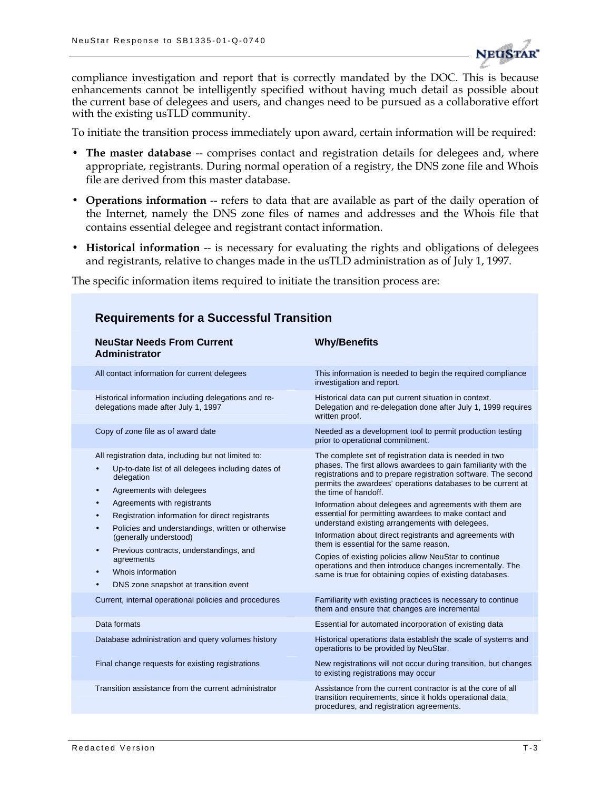

compliance investigation and report that is correctly mandated by the DOC. This is because enhancements cannot be intelligently specified without having much detail as possible about the current base of delegees and users, and changes need to be pursued as a collaborative effort with the existing usTLD community.

To initiate the transition process immediately upon award, certain information will be required:

- The master database -- comprises contact and registration details for delegees and, where appropriate, registrants. During normal operation of a registry, the DNS zone file and Whois file are derived from this master database.
- **Operations information** -- refers to data that are available as part of the daily operation of the Internet, namely the DNS zone files of names and addresses and the Whois file that contains essential delegee and registrant contact information.
- Historical information -- is necessary for evaluating the rights and obligations of delegees and registrants, relative to changes made in the usTLD administration as of July 1, 1997.

The specific information items required to initiate the transition process are:

| <b>NeuStar Needs From Current</b><br>Administrator                                                                                                                                                                                                                                                                                                                                                                                                                                                                              | <b>Why/Benefits</b>                                                                                                                                                                                                                                                                                                                                                                                                                                                                                                                                                                                                                                                                                                                             |
|---------------------------------------------------------------------------------------------------------------------------------------------------------------------------------------------------------------------------------------------------------------------------------------------------------------------------------------------------------------------------------------------------------------------------------------------------------------------------------------------------------------------------------|-------------------------------------------------------------------------------------------------------------------------------------------------------------------------------------------------------------------------------------------------------------------------------------------------------------------------------------------------------------------------------------------------------------------------------------------------------------------------------------------------------------------------------------------------------------------------------------------------------------------------------------------------------------------------------------------------------------------------------------------------|
| All contact information for current delegees                                                                                                                                                                                                                                                                                                                                                                                                                                                                                    | This information is needed to begin the required compliance<br>investigation and report.                                                                                                                                                                                                                                                                                                                                                                                                                                                                                                                                                                                                                                                        |
| Historical information including delegations and re-<br>delegations made after July 1, 1997                                                                                                                                                                                                                                                                                                                                                                                                                                     | Historical data can put current situation in context.<br>Delegation and re-delegation done after July 1, 1999 requires<br>written proof.                                                                                                                                                                                                                                                                                                                                                                                                                                                                                                                                                                                                        |
| Copy of zone file as of award date                                                                                                                                                                                                                                                                                                                                                                                                                                                                                              | Needed as a development tool to permit production testing<br>prior to operational commitment.                                                                                                                                                                                                                                                                                                                                                                                                                                                                                                                                                                                                                                                   |
| All registration data, including but not limited to:<br>Up-to-date list of all delegees including dates of<br>$\bullet$<br>delegation<br>Agreements with delegees<br>٠<br>Agreements with registrants<br>$\bullet$<br>Registration information for direct registrants<br>Policies and understandings, written or otherwise<br>$\bullet$<br>(generally understood)<br>Previous contracts, understandings, and<br>$\bullet$<br>agreements<br>Whois information<br>$\bullet$<br>DNS zone snapshot at transition event<br>$\bullet$ | The complete set of registration data is needed in two<br>phases. The first allows awardees to gain familiarity with the<br>registrations and to prepare registration software. The second<br>permits the awardees' operations databases to be current at<br>the time of handoff.<br>Information about delegees and agreements with them are<br>essential for permitting awardees to make contact and<br>understand existing arrangements with delegees.<br>Information about direct registrants and agreements with<br>them is essential for the same reason.<br>Copies of existing policies allow NeuStar to continue<br>operations and then introduce changes incrementally. The<br>same is true for obtaining copies of existing databases. |
| Current, internal operational policies and procedures                                                                                                                                                                                                                                                                                                                                                                                                                                                                           | Familiarity with existing practices is necessary to continue<br>them and ensure that changes are incremental                                                                                                                                                                                                                                                                                                                                                                                                                                                                                                                                                                                                                                    |
| Data formats                                                                                                                                                                                                                                                                                                                                                                                                                                                                                                                    | Essential for automated incorporation of existing data                                                                                                                                                                                                                                                                                                                                                                                                                                                                                                                                                                                                                                                                                          |
| Database administration and query volumes history                                                                                                                                                                                                                                                                                                                                                                                                                                                                               | Historical operations data establish the scale of systems and<br>operations to be provided by NeuStar.                                                                                                                                                                                                                                                                                                                                                                                                                                                                                                                                                                                                                                          |
| Final change requests for existing registrations                                                                                                                                                                                                                                                                                                                                                                                                                                                                                | New registrations will not occur during transition, but changes<br>to existing registrations may occur                                                                                                                                                                                                                                                                                                                                                                                                                                                                                                                                                                                                                                          |
| Transition assistance from the current administrator                                                                                                                                                                                                                                                                                                                                                                                                                                                                            | Assistance from the current contractor is at the core of all<br>transition requirements, since it holds operational data,<br>procedures, and registration agreements.                                                                                                                                                                                                                                                                                                                                                                                                                                                                                                                                                                           |

#### **Requirements for a Successful Transition**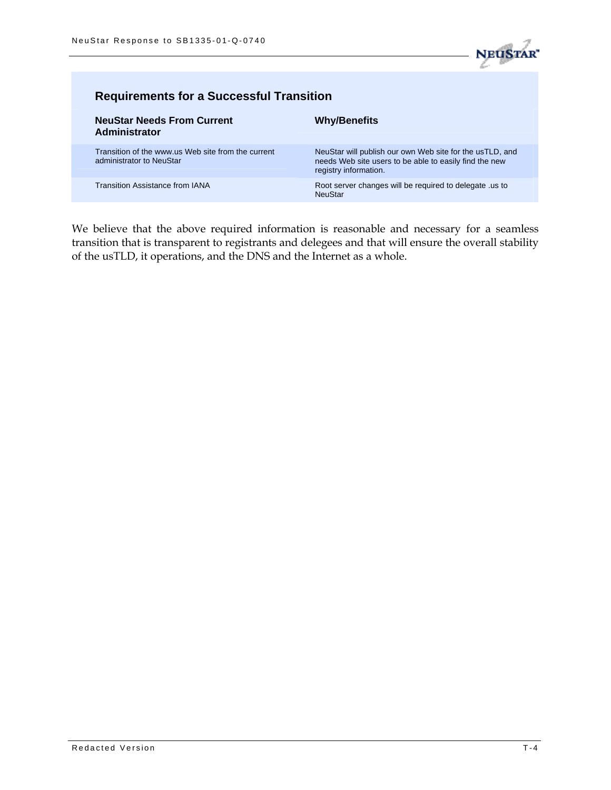

| <b>Requirements for a Successful Transition</b>                                |                                                                                                                                             |  |
|--------------------------------------------------------------------------------|---------------------------------------------------------------------------------------------------------------------------------------------|--|
| <b>NeuStar Needs From Current</b><br><b>Administrator</b>                      | <b>Why/Benefits</b>                                                                                                                         |  |
| Transition of the www.us Web site from the current<br>administrator to NeuStar | NeuStar will publish our own Web site for the usTLD, and<br>needs Web site users to be able to easily find the new<br>registry information. |  |
| <b>Transition Assistance from IANA</b>                                         | Root server changes will be required to delegate us to<br><b>NeuStar</b>                                                                    |  |

We believe that the above required information is reasonable and necessary for a seamless transition that is transparent to registrants and delegees and that will ensure the overall stability of the usTLD, it operations, and the DNS and the Internet as a whole.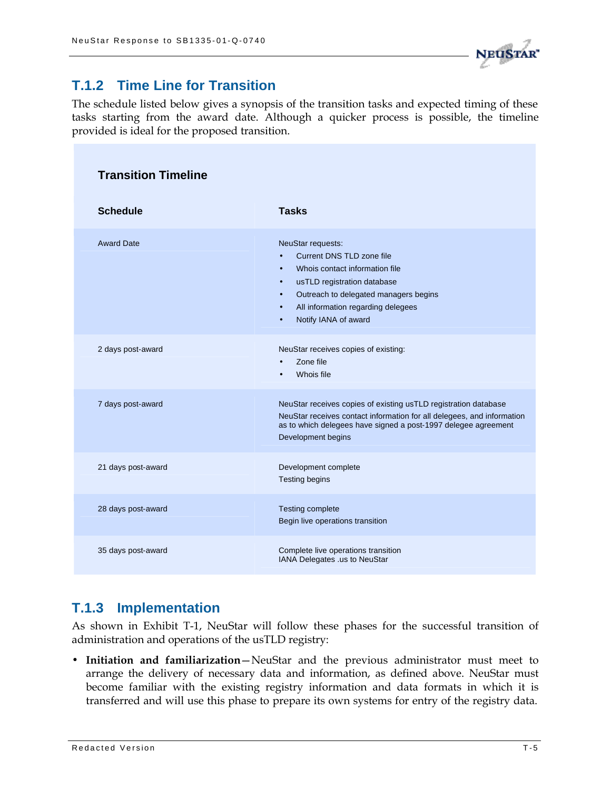

## **T.1.2 Time Line for Transition**

The schedule listed below gives a synopsis of the transition tasks and expected timing of these tasks starting from the award date. Although a quicker process is possible, the timeline provided is ideal for the proposed transition.

| <b>Transition Timeline</b> |                                                                                                                                                                                                                                                                                         |  |
|----------------------------|-----------------------------------------------------------------------------------------------------------------------------------------------------------------------------------------------------------------------------------------------------------------------------------------|--|
| <b>Schedule</b>            | <b>Tasks</b>                                                                                                                                                                                                                                                                            |  |
| <b>Award Date</b>          | NeuStar requests:<br>Current DNS TLD zone file<br>$\bullet$<br>Whois contact information file<br>$\bullet$<br>usTLD registration database<br>$\bullet$<br>Outreach to delegated managers begins<br>$\bullet$<br>All information regarding delegees<br>$\bullet$<br>Notify IANA of award |  |
| 2 days post-award          | NeuStar receives copies of existing:<br>Zone file<br>$\bullet$<br>Whois file                                                                                                                                                                                                            |  |
| 7 days post-award          | NeuStar receives copies of existing usTLD registration database<br>NeuStar receives contact information for all delegees, and information<br>as to which delegees have signed a post-1997 delegee agreement<br>Development begins                                                       |  |
| 21 days post-award         | Development complete<br><b>Testing begins</b>                                                                                                                                                                                                                                           |  |
| 28 days post-award         | <b>Testing complete</b><br>Begin live operations transition                                                                                                                                                                                                                             |  |
| 35 days post-award         | Complete live operations transition<br>IANA Delegates .us to NeuStar                                                                                                                                                                                                                    |  |

## **T.1.3 Implementation**

As shown in Exhibit T-1, NeuStar will follow these phases for the successful transition of administration and operations of the usTLD registry:

• **Initiation and familiarization**—NeuStar and the previous administrator must meet to arrange the delivery of necessary data and information, as defined above. NeuStar must become familiar with the existing registry information and data formats in which it is transferred and will use this phase to prepare its own systems for entry of the registry data.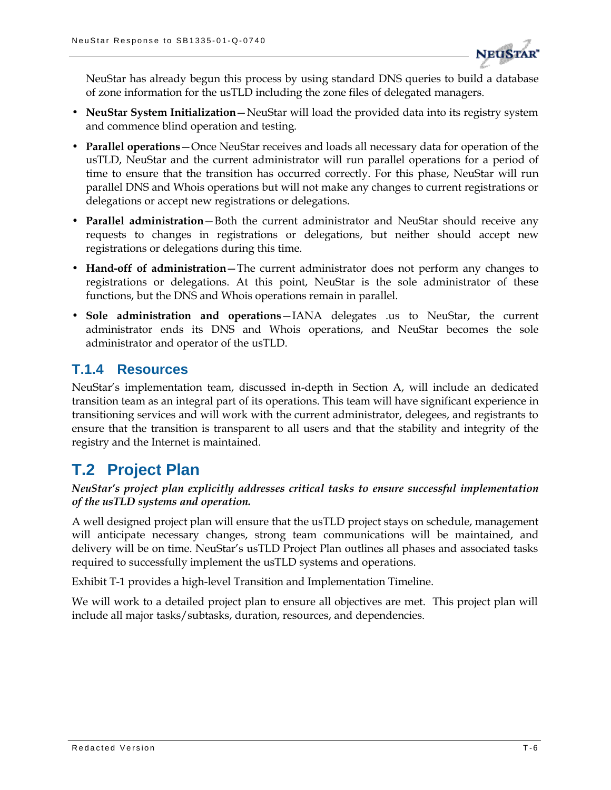

NeuStar has already begun this process by using standard DNS queries to build a database of zone information for the usTLD including the zone files of delegated managers.

- **NeuStar System Initialization**—NeuStar will load the provided data into its registry system and commence blind operation and testing.
- **Parallel operations**—Once NeuStar receives and loads all necessary data for operation of the usTLD, NeuStar and the current administrator will run parallel operations for a period of time to ensure that the transition has occurred correctly. For this phase, NeuStar will run parallel DNS and Whois operations but will not make any changes to current registrations or delegations or accept new registrations or delegations.
- **Parallel administration**—Both the current administrator and NeuStar should receive any requests to changes in registrations or delegations, but neither should accept new registrations or delegations during this time.
- **Hand-off of administration**—The current administrator does not perform any changes to registrations or delegations. At this point, NeuStar is the sole administrator of these functions, but the DNS and Whois operations remain in parallel.
- **Sole administration and operations**—IANA delegates .us to NeuStar, the current administrator ends its DNS and Whois operations, and NeuStar becomes the sole administrator and operator of the usTLD.

## **T.1.4 Resources**

NeuStar's implementation team, discussed in-depth in Section A, will include an dedicated transition team as an integral part of its operations. This team will have significant experience in transitioning services and will work with the current administrator, delegees, and registrants to ensure that the transition is transparent to all users and that the stability and integrity of the registry and the Internet is maintained.

## **T.2 Project Plan**

#### *NeuStar's project plan explicitly addresses critical tasks to ensure successful implementation of the usTLD systems and operation.*

A well designed project plan will ensure that the usTLD project stays on schedule, management will anticipate necessary changes, strong team communications will be maintained, and delivery will be on time. NeuStar's usTLD Project Plan outlines all phases and associated tasks required to successfully implement the usTLD systems and operations.

Exhibit T-1 provides a high-level Transition and Implementation Timeline.

We will work to a detailed project plan to ensure all objectives are met. This project plan will include all major tasks/subtasks, duration, resources, and dependencies.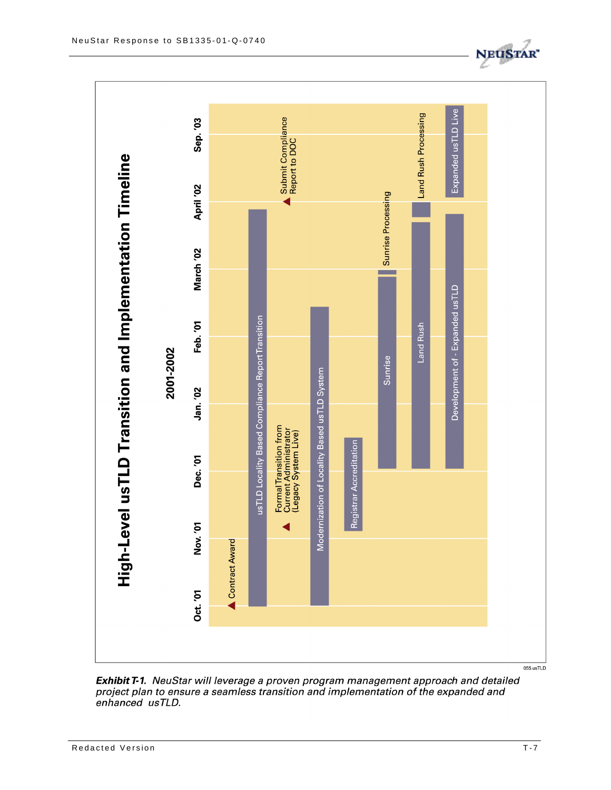

Exhibit T-1. NeuStar will leverage a proven program management approach and detailed project plan to ensure a seamless transition and implementation of the expanded and<br>enhanced usTLD.

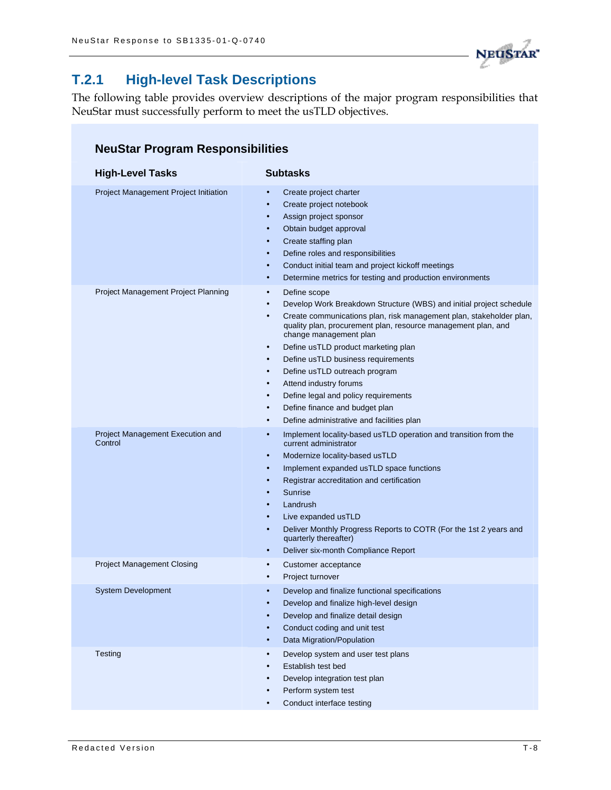

## **T.2.1 High-level Task Descriptions**

The following table provides overview descriptions of the major program responsibilities that NeuStar must successfully perform to meet the usTLD objectives.

#### **NeuStar Program Responsibilities**

| <b>High-Level Tasks</b>                     | <b>Subtasks</b>                                                                                                                                                                                                                                                                                                                                                                                                                                                                                                                                                                                                                                        |
|---------------------------------------------|--------------------------------------------------------------------------------------------------------------------------------------------------------------------------------------------------------------------------------------------------------------------------------------------------------------------------------------------------------------------------------------------------------------------------------------------------------------------------------------------------------------------------------------------------------------------------------------------------------------------------------------------------------|
| Project Management Project Initiation       | Create project charter<br>Create project notebook<br>$\bullet$<br>Assign project sponsor<br>$\bullet$<br>Obtain budget approval<br>$\bullet$<br>Create staffing plan<br>$\bullet$<br>Define roles and responsibilities<br>$\bullet$<br>Conduct initial team and project kickoff meetings<br>$\bullet$<br>Determine metrics for testing and production environments<br>$\bullet$                                                                                                                                                                                                                                                                        |
| Project Management Project Planning         | Define scope<br>$\bullet$<br>Develop Work Breakdown Structure (WBS) and initial project schedule<br>$\bullet$<br>Create communications plan, risk management plan, stakeholder plan,<br>$\bullet$<br>quality plan, procurement plan, resource management plan, and<br>change management plan<br>Define usTLD product marketing plan<br>$\bullet$<br>Define usTLD business requirements<br>$\bullet$<br>Define usTLD outreach program<br>$\bullet$<br>Attend industry forums<br>$\bullet$<br>Define legal and policy requirements<br>$\bullet$<br>Define finance and budget plan<br>$\bullet$<br>Define administrative and facilities plan<br>$\bullet$ |
| Project Management Execution and<br>Control | Implement locality-based usTLD operation and transition from the<br>$\bullet$<br>current administrator<br>Modernize locality-based usTLD<br>$\bullet$<br>Implement expanded usTLD space functions<br>$\bullet$<br>Registrar accreditation and certification<br>$\bullet$<br>Sunrise<br>$\bullet$<br>Landrush<br>$\bullet$<br>Live expanded usTLD<br>$\bullet$<br>Deliver Monthly Progress Reports to COTR (For the 1st 2 years and<br>$\bullet$<br>quarterly thereafter)<br>Deliver six-month Compliance Report<br>$\bullet$                                                                                                                           |
| <b>Project Management Closing</b>           | Customer acceptance<br>$\bullet$<br>Project turnover<br>$\bullet$                                                                                                                                                                                                                                                                                                                                                                                                                                                                                                                                                                                      |
| <b>System Development</b>                   | Develop and finalize functional specifications<br>$\bullet$<br>Develop and finalize high-level design<br>Develop and finalize detail design<br>Conduct coding and unit test<br>Data Migration/Population                                                                                                                                                                                                                                                                                                                                                                                                                                               |
| Testing                                     | Develop system and user test plans<br>$\bullet$<br>Establish test bed<br>$\bullet$<br>Develop integration test plan<br>$\bullet$<br>Perform system test<br>Conduct interface testing<br>$\bullet$                                                                                                                                                                                                                                                                                                                                                                                                                                                      |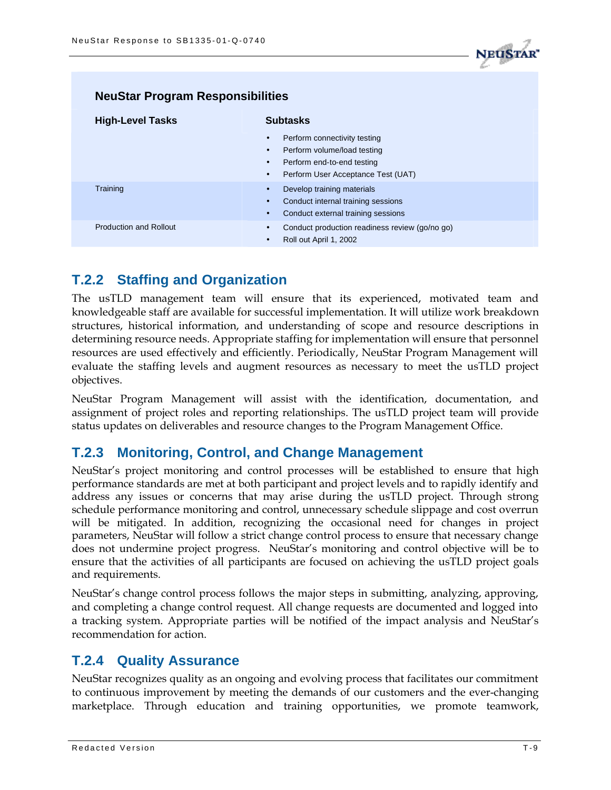

| <b>NeuStar Program Responsibilities</b> |                                                                                                                                                                        |
|-----------------------------------------|------------------------------------------------------------------------------------------------------------------------------------------------------------------------|
| <b>High-Level Tasks</b>                 | <b>Subtasks</b>                                                                                                                                                        |
|                                         | Perform connectivity testing<br>$\bullet$<br>Perform volume/load testing<br>Perform end-to-end testing<br>$\bullet$<br>Perform User Acceptance Test (UAT)<br>$\bullet$ |
| Training                                | Develop training materials<br>Conduct internal training sessions<br>Conduct external training sessions                                                                 |
| <b>Production and Rollout</b>           | Conduct production readiness review (go/no go)<br>$\bullet$<br>Roll out April 1, 2002<br>$\bullet$                                                                     |

## **T.2.2 Staffing and Organization**

The usTLD management team will ensure that its experienced, motivated team and knowledgeable staff are available for successful implementation. It will utilize work breakdown structures, historical information, and understanding of scope and resource descriptions in determining resource needs. Appropriate staffing for implementation will ensure that personnel resources are used effectively and efficiently. Periodically, NeuStar Program Management will evaluate the staffing levels and augment resources as necessary to meet the usTLD project objectives.

NeuStar Program Management will assist with the identification, documentation, and assignment of project roles and reporting relationships. The usTLD project team will provide status updates on deliverables and resource changes to the Program Management Office.

### **T.2.3 Monitoring, Control, and Change Management**

NeuStar's project monitoring and control processes will be established to ensure that high performance standards are met at both participant and project levels and to rapidly identify and address any issues or concerns that may arise during the usTLD project. Through strong schedule performance monitoring and control, unnecessary schedule slippage and cost overrun will be mitigated. In addition, recognizing the occasional need for changes in project parameters, NeuStar will follow a strict change control process to ensure that necessary change does not undermine project progress. NeuStar's monitoring and control objective will be to ensure that the activities of all participants are focused on achieving the usTLD project goals and requirements.

NeuStar's change control process follows the major steps in submitting, analyzing, approving, and completing a change control request. All change requests are documented and logged into a tracking system. Appropriate parties will be notified of the impact analysis and NeuStar's recommendation for action.

## **T.2.4 Quality Assurance**

NeuStar recognizes quality as an ongoing and evolving process that facilitates our commitment to continuous improvement by meeting the demands of our customers and the ever-changing marketplace. Through education and training opportunities, we promote teamwork,